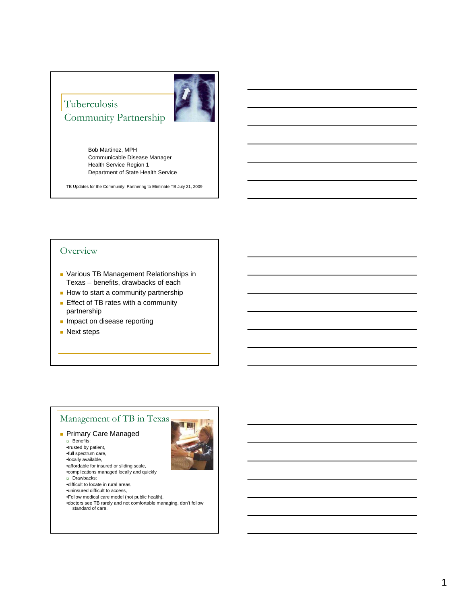## Tuberculosis Community Partnership



Bob Martinez, MPH Communicable Disease Manager Health Service Region 1 Department of State Health Service

TB Updates for the Community: Partnering to Eliminate TB July 21, 2009

### **Overview**

- **Various TB Management Relationships in** Texas – benefits, drawbacks of each
- How to start a community partnership
- **Effect of TB rates with a community** partnership
- **Impact on disease reporting**
- **Next steps**



- •complications managed locally and quickly
- Drawbacks:
- •difficult to locate in rural areas,
- •uninsured difficult to access,
- •Follow medical care model (not public health),
- •doctors see TB rarely and not comfortable managing, don't follow
	- standard of care.

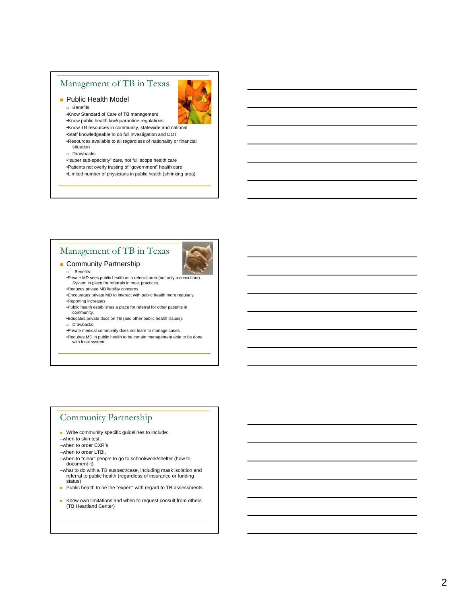### Management of TB in Texas

**Public Health Model** a Benefits



- •Know Standard of Care of TB management •Know public health law/quarantine regulations
- •Know TB resources in community, statewide and national
- •Staff knowledgeable to do full investigation and DOT
- •Resources available to all regardless of nationality or financial situation
- Drawbacks
- •"super sub-specialty" care, not full scope health care
- •Patients not overly trusting of "government" health care
- •Limited number of physicians in public health (shrinking area)

## Management of TB in Texas



- **Community Partnership**  –Benefits:
	- •Private MD sees public health as a referral area (not only a consultant). System in place for referrals in most practices.
	- •Reduces private MD liability concerns
	- •Encourages private MD to interact with public health more regularly. •Reporting increases
	- •Public health establishes a place for referral for other patients in community.
	- •Educates private docs on TB (and other public health issues).
	- Drawbacks:
	- •Private medical community does not learn to manage cases.
	- •Requires MD in public health to be certain management able to be done with local system.

#### Community Partnership

- **Write community specific guidelines to include:**
- –when to skin test,

–when to order CXR's,

- –when to order LTBI,
- –when to "clear" people to go to school/work/shelter (how to document it)
- –what to do with a TB suspect/case, including mask isolation and referral to public health (regardless of insurance or funding status)
- **Public health to be the "expert" with regard to TB assessments**
- Know own limitations and when to request consult from others (TB Heartland Center)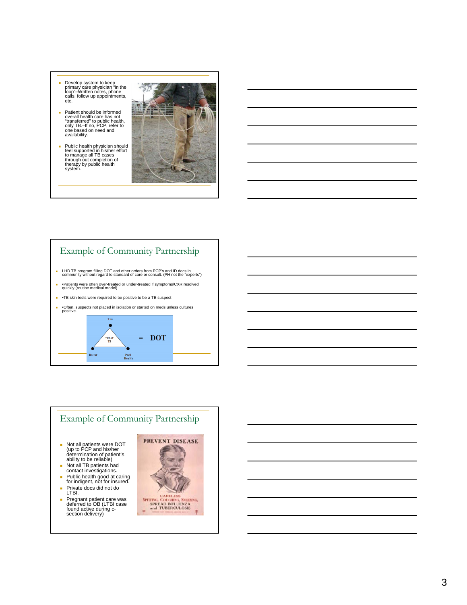- Develop system to keep primary care physician "in the loop"–Written notes, phone calls, follow up appointments, etc.
- Patient should be informed overall health care has not "transferred" to public health, only TB.–If no, PCP, refer to one based on need and availability.
- Public health physician should feel supported in his/her effort to manage all TB cases through out completion of therapy by public health system.



## Example of Community Partnership

- LHD TB program filling DOT and other orders from PCP's and ID docs in community without regard to standard of care or consult. (PH not the "experts")
- •Patients were often over-treated or under-treated if symptoms/CXR resolved quickly (routine medical model)
- •TB skin tests were required to be positive to be a TB suspect
- •Often, suspects not placed in isolation or started on meds unless cultures positive.



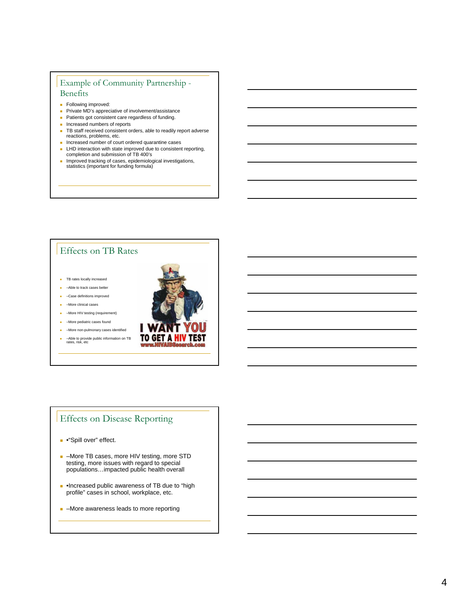### Example of Community Partnership - Benefits

- **Following improved:**
- **Private MD's appreciative of involvement/assistance**
- **Patients got consistent care regardless of funding.**
- **Increased numbers of reports**
- TB staff received consistent orders, able to readily report adverse reactions, problems, etc.
- $\blacksquare$  Increased number of court ordered quarantine cases
- **LHD** interaction with state improved due to consistent reporting, completion and submission of TB 400's
- **n** Improved tracking of cases, epidemiological investigations, statistics (important for funding formula)

# Effects on TB Rates

**TB** rates locally increased

- **-Able to track cases better**
- –Case definitions improved
- –More clinical cases
- –More HIV testing (requirement)
- –More pediatric cases found
- –More non-pulmonary cases identified
- –Able to provide public information on TB rates, risk, etc



## Effects on Disease Reporting

- •"Spill over" effect.
- –More TB cases, more HIV testing, more STD testing, more issues with regard to special populations…impacted public health overall
- **•Increased public awareness of TB due to "high** profile" cases in school, workplace, etc.
- **-** -More awareness leads to more reporting